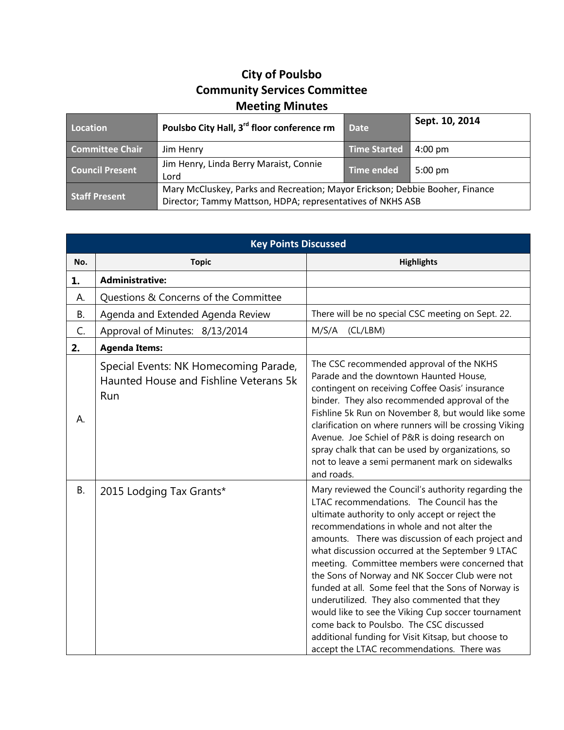## **City of Poulsbo Community Services Committee Meeting Minutes**

| Location               | Poulsbo City Hall, 3 <sup>rd</sup> floor conference rm                                                                                     | <b>Date</b>       | Sept. 10, 2014    |
|------------------------|--------------------------------------------------------------------------------------------------------------------------------------------|-------------------|-------------------|
| <b>Committee Chair</b> | Jim Henry                                                                                                                                  | Time Started      | $4:00 \text{ pm}$ |
| <b>Council Present</b> | Jim Henry, Linda Berry Maraist, Connie<br>Lord                                                                                             | <b>Time ended</b> | $5:00 \text{ pm}$ |
| <b>Staff Present</b>   | Mary McCluskey, Parks and Recreation; Mayor Erickson; Debbie Booher, Finance<br>Director; Tammy Mattson, HDPA; representatives of NKHS ASB |                   |                   |

| <b>Key Points Discussed</b> |                                                                                        |                                                                                                                                                                                                                                                                                                                                                                                                                                                                                                                                                                                                                                                                                                                            |  |  |
|-----------------------------|----------------------------------------------------------------------------------------|----------------------------------------------------------------------------------------------------------------------------------------------------------------------------------------------------------------------------------------------------------------------------------------------------------------------------------------------------------------------------------------------------------------------------------------------------------------------------------------------------------------------------------------------------------------------------------------------------------------------------------------------------------------------------------------------------------------------------|--|--|
| No.                         | <b>Topic</b>                                                                           | <b>Highlights</b>                                                                                                                                                                                                                                                                                                                                                                                                                                                                                                                                                                                                                                                                                                          |  |  |
| 1.                          | <b>Administrative:</b>                                                                 |                                                                                                                                                                                                                                                                                                                                                                                                                                                                                                                                                                                                                                                                                                                            |  |  |
| А.                          | Questions & Concerns of the Committee                                                  |                                                                                                                                                                                                                                                                                                                                                                                                                                                                                                                                                                                                                                                                                                                            |  |  |
| <b>B.</b>                   | Agenda and Extended Agenda Review                                                      | There will be no special CSC meeting on Sept. 22.                                                                                                                                                                                                                                                                                                                                                                                                                                                                                                                                                                                                                                                                          |  |  |
| C.                          | Approval of Minutes: 8/13/2014                                                         | M/S/A<br>(CL/LBM)                                                                                                                                                                                                                                                                                                                                                                                                                                                                                                                                                                                                                                                                                                          |  |  |
| 2.                          | <b>Agenda Items:</b>                                                                   |                                                                                                                                                                                                                                                                                                                                                                                                                                                                                                                                                                                                                                                                                                                            |  |  |
| А.                          | Special Events: NK Homecoming Parade,<br>Haunted House and Fishline Veterans 5k<br>Run | The CSC recommended approval of the NKHS<br>Parade and the downtown Haunted House,<br>contingent on receiving Coffee Oasis' insurance<br>binder. They also recommended approval of the<br>Fishline 5k Run on November 8, but would like some<br>clarification on where runners will be crossing Viking<br>Avenue. Joe Schiel of P&R is doing research on<br>spray chalk that can be used by organizations, so<br>not to leave a semi permanent mark on sidewalks<br>and roads.                                                                                                                                                                                                                                             |  |  |
| <b>B.</b>                   | 2015 Lodging Tax Grants*                                                               | Mary reviewed the Council's authority regarding the<br>LTAC recommendations. The Council has the<br>ultimate authority to only accept or reject the<br>recommendations in whole and not alter the<br>amounts. There was discussion of each project and<br>what discussion occurred at the September 9 LTAC<br>meeting. Committee members were concerned that<br>the Sons of Norway and NK Soccer Club were not<br>funded at all. Some feel that the Sons of Norway is<br>underutilized. They also commented that they<br>would like to see the Viking Cup soccer tournament<br>come back to Poulsbo. The CSC discussed<br>additional funding for Visit Kitsap, but choose to<br>accept the LTAC recommendations. There was |  |  |